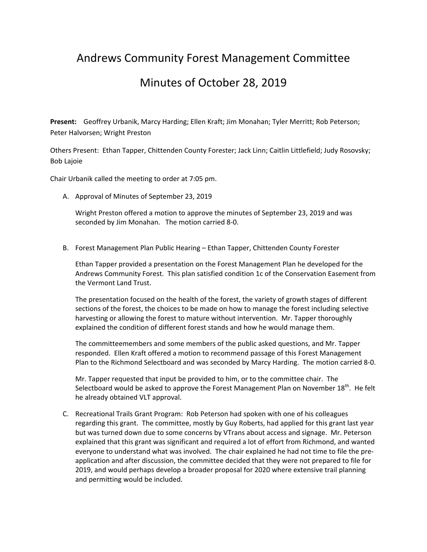## Andrews Community Forest Management Committee

## Minutes of October 28, 2019

**Present:** Geoffrey Urbanik, Marcy Harding; Ellen Kraft; Jim Monahan; Tyler Merritt; Rob Peterson; Peter Halvorsen; Wright Preston

Others Present: Ethan Tapper, Chittenden County Forester; Jack Linn; Caitlin Littlefield; Judy Rosovsky; Bob Lajoie

Chair Urbanik called the meeting to order at 7:05 pm.

A. Approval of Minutes of September 23, 2019

Wright Preston offered a motion to approve the minutes of September 23, 2019 and was seconded by Jim Monahan. The motion carried 8-0.

B. Forest Management Plan Public Hearing – Ethan Tapper, Chittenden County Forester

Ethan Tapper provided a presentation on the Forest Management Plan he developed for the Andrews Community Forest. This plan satisfied condition 1c of the Conservation Easement from the Vermont Land Trust.

The presentation focused on the health of the forest, the variety of growth stages of different sections of the forest, the choices to be made on how to manage the forest including selective harvesting or allowing the forest to mature without intervention. Mr. Tapper thoroughly explained the condition of different forest stands and how he would manage them.

The committeemembers and some members of the public asked questions, and Mr. Tapper responded. Ellen Kraft offered a motion to recommend passage of this Forest Management Plan to the Richmond Selectboard and was seconded by Marcy Harding. The motion carried 8‐0.

Mr. Tapper requested that input be provided to him, or to the committee chair. The Selectboard would be asked to approve the Forest Management Plan on November  $18<sup>th</sup>$ . He felt he already obtained VLT approval.

C. Recreational Trails Grant Program: Rob Peterson had spoken with one of his colleagues regarding this grant. The committee, mostly by Guy Roberts, had applied for this grant last year but was turned down due to some concerns by VTrans about access and signage. Mr. Peterson explained that this grant was significant and required a lot of effort from Richmond, and wanted everyone to understand what was involved. The chair explained he had not time to file the pre‐ application and after discussion, the committee decided that they were not prepared to file for 2019, and would perhaps develop a broader proposal for 2020 where extensive trail planning and permitting would be included.